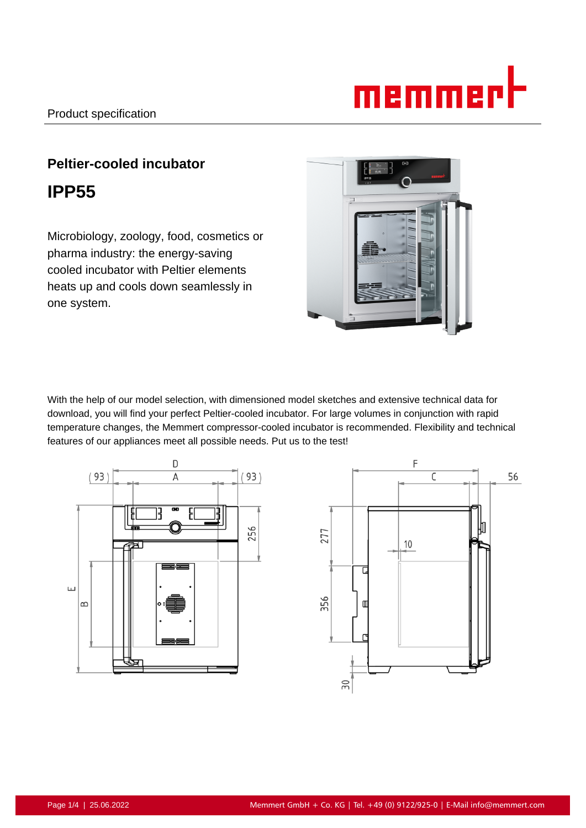# <u>memmer</u>l

# **Peltier-cooled incubator IPP55**

Microbiology, zoology, food, cosmetics or pharma industry: the energy-saving cooled incubator with Peltier elements heats up and cools down seamlessly in one system.



With the help of our model selection, with dimensioned model sketches and extensive technical data for download, you will find your perfect Peltier-cooled incubator. For large volumes in conjunction with rapid temperature changes, the Memmert compressor-cooled incubator is recommended. Flexibility and technical features of our appliances meet all possible needs. Put us to the test!



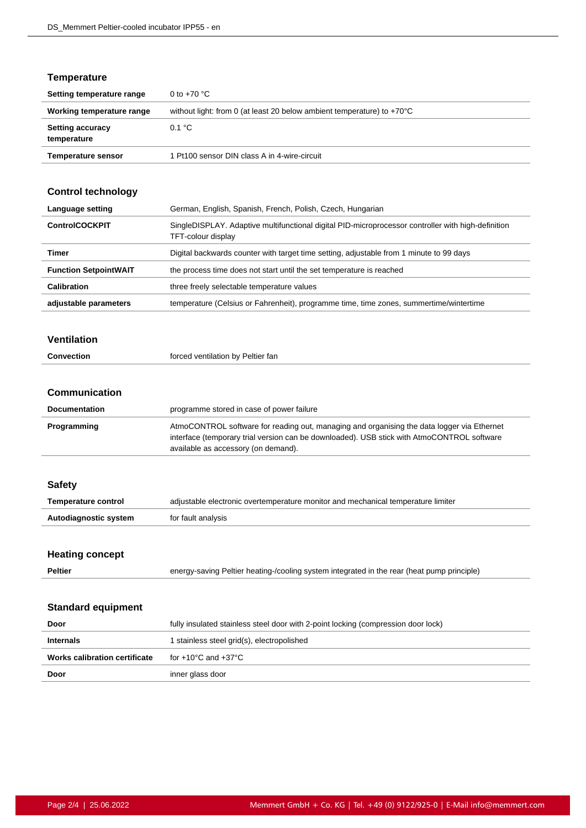#### **Temperature**

| Setting temperature range              | 0 to $+70$ °C                                                                    |
|----------------------------------------|----------------------------------------------------------------------------------|
| Working temperature range              | without light: from 0 (at least 20 below ambient temperature) to $+70^{\circ}$ C |
| <b>Setting accuracy</b><br>temperature | 0.1 °C                                                                           |
| <b>Temperature sensor</b>              | 1 Pt100 sensor DIN class A in 4-wire-circuit                                     |

## **Control technology**

| Language setting             | German, English, Spanish, French, Polish, Czech, Hungarian                                                               |
|------------------------------|--------------------------------------------------------------------------------------------------------------------------|
| <b>ControlCOCKPIT</b>        | SingleDISPLAY. Adaptive multifunctional digital PID-microprocessor controller with high-definition<br>TFT-colour display |
| Timer                        | Digital backwards counter with target time setting, adjustable from 1 minute to 99 days                                  |
| <b>Function SetpointWAIT</b> | the process time does not start until the set temperature is reached                                                     |
| <b>Calibration</b>           | three freely selectable temperature values                                                                               |
| adjustable parameters        | temperature (Celsius or Fahrenheit), programme time, time zones, summertime/wintertime                                   |

#### **Ventilation**

| <b>Convection</b> | forced ventilation by Peltier fan |
|-------------------|-----------------------------------|
|                   |                                   |

#### **Communication**

| <b>Documentation</b> | programme stored in case of power failure                                                                                                                                                                                       |
|----------------------|---------------------------------------------------------------------------------------------------------------------------------------------------------------------------------------------------------------------------------|
| Programming          | AtmoCONTROL software for reading out, managing and organising the data logger via Ethernet<br>interface (temporary trial version can be downloaded). USB stick with AtmoCONTROL software<br>available as accessory (on demand). |

#### **Safety**

| <b>Temperature control</b> | adjustable electronic overtemperature monitor and mechanical temperature limiter |
|----------------------------|----------------------------------------------------------------------------------|
| Autodiagnostic system      | for fault analysis                                                               |

#### **Heating concept**

| <b>Peltier</b> | energy-saving Peltier heating-/cooling system integrated in the rear (heat pump principle) |  |
|----------------|--------------------------------------------------------------------------------------------|--|
|                |                                                                                            |  |

#### **Standard equipment**

| Door                          | fully insulated stainless steel door with 2-point locking (compression door lock) |
|-------------------------------|-----------------------------------------------------------------------------------|
| <b>Internals</b>              | I stainless steel grid(s), electropolished                                        |
| Works calibration certificate | for +10°C and +37°C                                                               |
| Door                          | inner glass door                                                                  |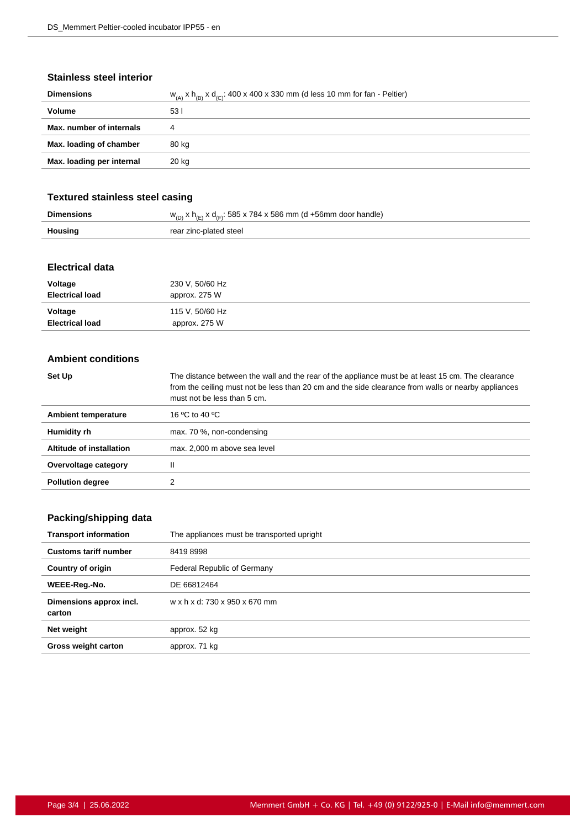#### **Stainless steel interior**

| <b>Dimensions</b>         | $w_{(A)}$ x $h_{(B)}$ x $d_{(C)}$ : 400 x 400 x 330 mm (d less 10 mm for fan - Peltier) |
|---------------------------|-----------------------------------------------------------------------------------------|
| <b>Volume</b>             | 531                                                                                     |
| Max. number of internals  | 4                                                                                       |
| Max. loading of chamber   | 80 kg                                                                                   |
| Max. loading per internal | 20 kg                                                                                   |
|                           |                                                                                         |

#### **Textured stainless steel casing**

|                | $w_{(D)}$ x h <sub>(E)</sub> x d <sub>(E)</sub> : 585 x 784 x 586 mm (d +56mm door handle) |
|----------------|--------------------------------------------------------------------------------------------|
| <b>Housing</b> | rear zinc-plated steel                                                                     |

#### **Electrical data**

| Voltage                | 230 V, 50/60 Hz |
|------------------------|-----------------|
| <b>Electrical load</b> | approx. 275 W   |
| Voltage                | 115 V, 50/60 Hz |
| <b>Electrical load</b> | approx. 275 W   |

#### **Ambient conditions**

| Set Up                   | The distance between the wall and the rear of the appliance must be at least 15 cm. The clearance<br>from the ceiling must not be less than 20 cm and the side clearance from walls or nearby appliances<br>must not be less than 5 cm. |
|--------------------------|-----------------------------------------------------------------------------------------------------------------------------------------------------------------------------------------------------------------------------------------|
| Ambient temperature      | 16 °C to 40 °C                                                                                                                                                                                                                          |
| Humidity rh              | max. 70 %, non-condensing                                                                                                                                                                                                               |
| Altitude of installation | max. 2,000 m above sea level                                                                                                                                                                                                            |
| Overvoltage category     | Ш                                                                                                                                                                                                                                       |
| <b>Pollution degree</b>  |                                                                                                                                                                                                                                         |

## **Packing/shipping data**

| <b>Transport information</b>      | The appliances must be transported upright |
|-----------------------------------|--------------------------------------------|
| <b>Customs tariff number</b>      | 84198998                                   |
| <b>Country of origin</b>          | Federal Republic of Germany                |
| WEEE-Reg.-No.                     | DE 66812464                                |
| Dimensions approx incl.<br>carton | w x h x d: 730 x 950 x 670 mm              |
| Net weight                        | approx. 52 kg                              |
| <b>Gross weight carton</b>        | approx. 71 kg                              |